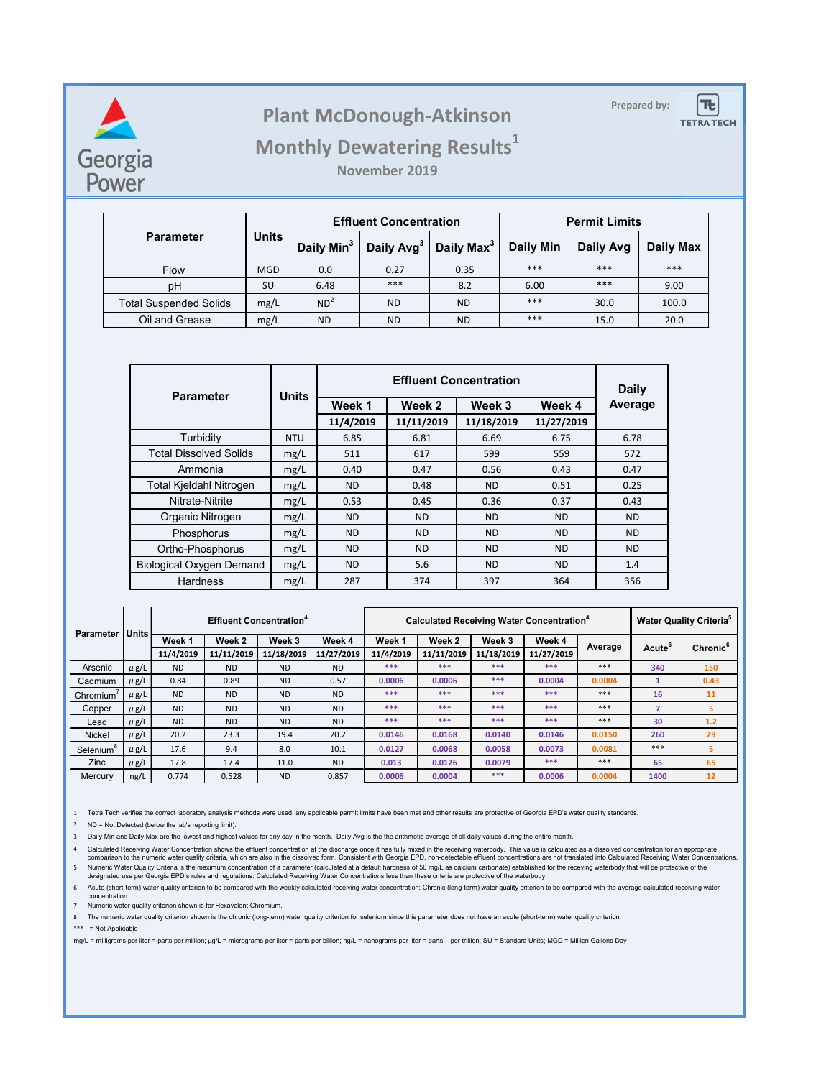

## **Prepared by: Plant McDonough-Atkinson**



## **Monthly Dewatering Results<sup>1</sup>**

**November 2019**

|                               | <b>Units</b> |                        | <b>Effluent Concentration</b> |                        | <b>Permit Limits</b> |           |           |  |
|-------------------------------|--------------|------------------------|-------------------------------|------------------------|----------------------|-----------|-----------|--|
| <b>Parameter</b>              |              | Daily Min <sup>3</sup> | Daily Avg <sup>3</sup>        | Daily Max <sup>3</sup> | Daily Min            | Daily Avg | Daily Max |  |
| <b>Flow</b>                   | <b>MGD</b>   | 0.0                    | 0.27                          | 0.35                   | ***                  | ***       | $***$     |  |
| pH                            | SU           | 6.48                   | ***                           | 8.2                    | 6.00                 | ***       | 9.00      |  |
| <b>Total Suspended Solids</b> | mg/L         | ND <sup>2</sup>        | <b>ND</b>                     | <b>ND</b>              | ***                  | 30.0      | 100.0     |  |
| Oil and Grease                | mg/L         | <b>ND</b>              | <b>ND</b>                     | <b>ND</b>              | ***                  | 15.0      | 20.0      |  |

| <b>Parameter</b>                | <b>Units</b> |                            | Daily      |            |            |           |
|---------------------------------|--------------|----------------------------|------------|------------|------------|-----------|
|                                 |              | Week 1<br>Week 3<br>Week 2 |            | Week 4     | Average    |           |
|                                 |              | 11/4/2019                  | 11/11/2019 | 11/18/2019 | 11/27/2019 |           |
| Turbidity                       | <b>NTU</b>   | 6.85                       | 6.81       | 6.69       | 6.75       | 6.78      |
| <b>Total Dissolved Solids</b>   | mg/L         | 511                        | 617        | 599        | 559        | 572       |
| Ammonia                         | mg/L         | 0.40                       | 0.47       | 0.56       | 0.43       | 0.47      |
| <b>Total Kjeldahl Nitrogen</b>  | mg/L         | <b>ND</b>                  | 0.48       | <b>ND</b>  | 0.51       | 0.25      |
| Nitrate-Nitrite                 | mg/L         | 0.53                       | 0.45       | 0.36       | 0.37       | 0.43      |
| Organic Nitrogen                | mg/L         | <b>ND</b>                  | <b>ND</b>  | <b>ND</b>  | <b>ND</b>  | <b>ND</b> |
| Phosphorus                      | mg/L         | ND.                        | <b>ND</b>  | <b>ND</b>  | <b>ND</b>  | <b>ND</b> |
| Ortho-Phosphorus                | mg/L         | <b>ND</b>                  | <b>ND</b>  | <b>ND</b>  | <b>ND</b>  | <b>ND</b> |
| <b>Biological Oxygen Demand</b> | mg/L         | <b>ND</b>                  | 5.6        | <b>ND</b>  | <b>ND</b>  | 1.4       |
| Hardness                        | mg/L         | 287                        | 374        | 397        | 364        | 356       |

| Parameter<br>Units    |           |           | <b>Effluent Concentration<sup>4</sup></b> |            |            | Calculated Receiving Water Concentration <sup>4</sup> |            |            |            |         | <b>Water Quality Criteria<sup>5</sup></b> |                      |
|-----------------------|-----------|-----------|-------------------------------------------|------------|------------|-------------------------------------------------------|------------|------------|------------|---------|-------------------------------------------|----------------------|
|                       |           | Week 1    | Week 2                                    | Week 3     | Week 4     | Week 1                                                | Week 2     | Week 3     | Week 4     | Average | Acute <sup>6</sup>                        | Chronic <sup>6</sup> |
|                       |           | 11/4/2019 | 11/11/2019                                | 11/18/2019 | 11/27/2019 | 11/4/2019                                             | 11/11/2019 | 11/18/2019 | 11/27/2019 |         |                                           |                      |
| Arsenic               | $\mu$ g/L | <b>ND</b> | <b>ND</b>                                 | <b>ND</b>  | <b>ND</b>  | ***                                                   | ***        | ***        | ***        | $***$   | 340                                       | 150                  |
| Cadmium               | $\mu$ g/L | 0.84      | 0.89                                      | <b>ND</b>  | 0.57       | 0.0006                                                | 0.0006     | ***        | 0.0004     | 0.0004  |                                           | 0.43                 |
| Chromium              | $\mu$ g/L | <b>ND</b> | <b>ND</b>                                 | <b>ND</b>  | <b>ND</b>  | ***                                                   | ***        | ***        | ***        | ***     | 16                                        | 11                   |
| Copper                | $\mu$ g/L | <b>ND</b> | <b>ND</b>                                 | <b>ND</b>  | <b>ND</b>  | ***                                                   | ***        | ***        | ***        | ***     | 7                                         | 5                    |
| Lead                  | $\mu$ g/L | <b>ND</b> | <b>ND</b>                                 | <b>ND</b>  | <b>ND</b>  | ***                                                   | ***        | ***        | ***        | ***     | 30                                        | 1.2                  |
| <b>Nickel</b>         | $\mu$ g/L | 20.2      | 23.3                                      | 19.4       | 20.2       | 0.0146                                                | 0.0168     | 0.0140     | 0.0146     | 0.0150  | 260                                       | 29                   |
| Selenium <sup>8</sup> | $\mu$ g/L | 17.6      | 9.4                                       | 8.0        | 10.1       | 0.0127                                                | 0.0068     | 0.0058     | 0.0073     | 0.0081  | $***$                                     | 5                    |
| Zinc                  | $\mu$ g/L | 17.8      | 17.4                                      | 11.0       | <b>ND</b>  | 0.013                                                 | 0.0126     | 0.0079     | ***        | ***     | 65                                        | 65                   |
| Mercury               | ng/L      | 0.774     | 0.528                                     | <b>ND</b>  | 0.857      | 0.0006                                                | 0.0004     | ***        | 0.0006     | 0.0004  | 1400                                      | 12                   |

1 Tetra Tech verifies the correct laboratory analysis methods were used, any applicable permit limits have been met and other results are protective of Georgia EPD's water quality standards.

2 ND = Not Detected (below the lab's reporting limit).

3 Daily Min and Daily Max are the lowest and highest values for any day in the month. Daily Avg is the the arithmetic average of all daily values during the entire month.

4 Calculated Receiving Water Concentration shows the effluent concentration at the discharge once it has fully mixed in the receiving waterbody. This value is calculated as a dissolved concentration for an appropriate comparison to the numeric water quality criteria, which are also in the dissolved form. Consistent with Georgia EPD, non-detectable effluent concentrations are not translated into Calculated Receiving Water Concentrations.

designated use per Georgia EPD's rules and regulations. Calculated Receiving Water Concentrations less than these criteria are protective of the waterbody.

6 Acute (short-term) water quality criterion to be compared with the weekly calculated receiving water concentration; Chronic (long-term) water quality criterion to be compared with the average calculated receiving water concentration.

7 Numeric water quality criterion shown is for Hexavalent Chromium.

8 The numeric water quality criterion shown is the chronic (long-term) water quality criterion for selenium since this parameter does not have an acute (short-term) water quality criterion.

\*\*\* = Not Applicable

mg/L = milligrams per liter = parts per million; µg/L = micrograms per liter = parts per bilion; ng/L = nanograms per liter = parts per trillion; SU = Standard Units; MGD = Million Gallons Day